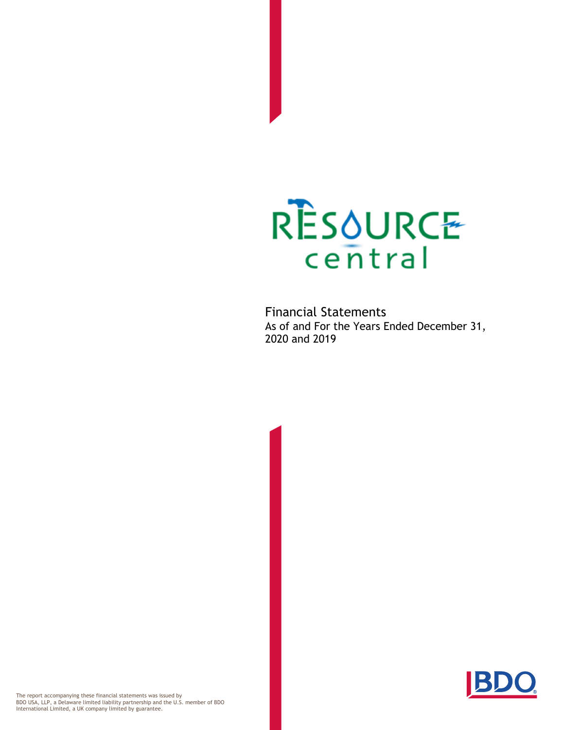# RESOURCE central

Financial Statements As of and For the Years Ended December 31, 2020 and 2019

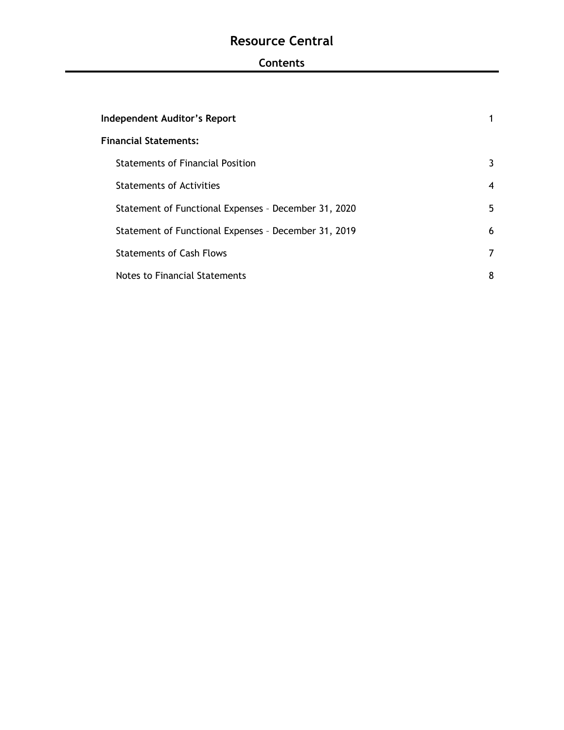# **Contents**

| <b>Independent Auditor's Report</b>                  |   |
|------------------------------------------------------|---|
| <b>Financial Statements:</b>                         |   |
| <b>Statements of Financial Position</b>              | 3 |
| <b>Statements of Activities</b>                      | 4 |
| Statement of Functional Expenses - December 31, 2020 | 5 |
| Statement of Functional Expenses - December 31, 2019 | 6 |
| <b>Statements of Cash Flows</b>                      | 7 |
| Notes to Financial Statements                        | 8 |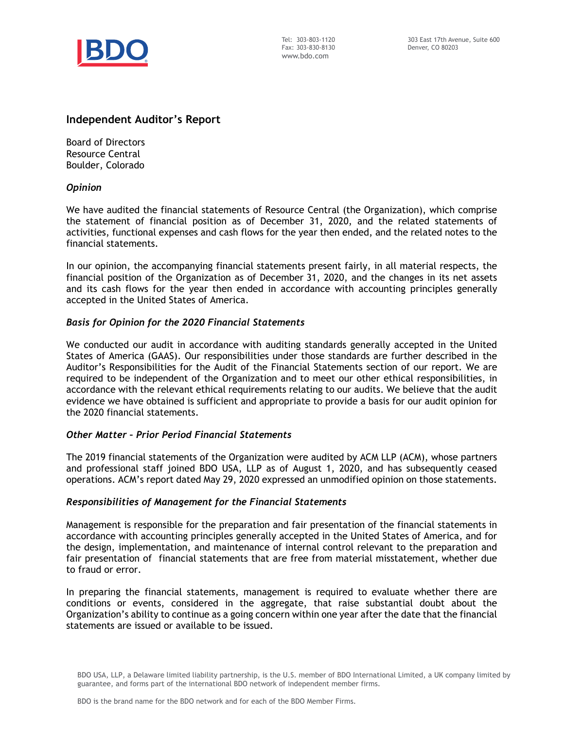

#### **Independent Auditor's Report**

Board of Directors Resource Central Boulder, Colorado

#### *Opinion*

We have audited the financial statements of Resource Central (the Organization), which comprise the statement of financial position as of December 31, 2020, and the related statements of activities, functional expenses and cash flows for the year then ended, and the related notes to the financial statements.

In our opinion, the accompanying financial statements present fairly, in all material respects, the financial position of the Organization as of December 31, 2020, and the changes in its net assets and its cash flows for the year then ended in accordance with accounting principles generally accepted in the United States of America.

#### *Basis for Opinion for the 2020 Financial Statements*

We conducted our audit in accordance with auditing standards generally accepted in the United States of America (GAAS). Our responsibilities under those standards are further described in the Auditor's Responsibilities for the Audit of the Financial Statements section of our report. We are required to be independent of the Organization and to meet our other ethical responsibilities, in accordance with the relevant ethical requirements relating to our audits. We believe that the audit evidence we have obtained is sufficient and appropriate to provide a basis for our audit opinion for the 2020 financial statements.

#### *Other Matter – Prior Period Financial Statements*

The 2019 financial statements of the Organization were audited by ACM LLP (ACM), whose partners and professional staff joined BDO USA, LLP as of August 1, 2020, and has subsequently ceased operations. ACM's report dated May 29, 2020 expressed an unmodified opinion on those statements.

#### *Responsibilities of Management for the Financial Statements*

Management is responsible for the preparation and fair presentation of the financial statements in accordance with accounting principles generally accepted in the United States of America, and for the design, implementation, and maintenance of internal control relevant to the preparation and fair presentation of financial statements that are free from material misstatement, whether due to fraud or error.

In preparing the financial statements, management is required to evaluate whether there are conditions or events, considered in the aggregate, that raise substantial doubt about the Organization's ability to continue as a going concern within one year after the date that the financial statements are issued or available to be issued.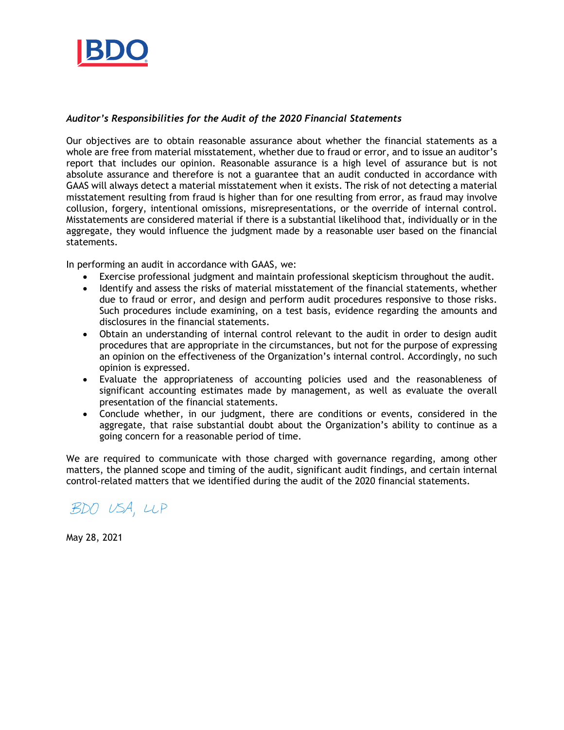

#### *Auditor's Responsibilities for the Audit of the 2020 Financial Statements*

Our objectives are to obtain reasonable assurance about whether the financial statements as a whole are free from material misstatement, whether due to fraud or error, and to issue an auditor's report that includes our opinion. Reasonable assurance is a high level of assurance but is not absolute assurance and therefore is not a guarantee that an audit conducted in accordance with GAAS will always detect a material misstatement when it exists. The risk of not detecting a material misstatement resulting from fraud is higher than for one resulting from error, as fraud may involve collusion, forgery, intentional omissions, misrepresentations, or the override of internal control. Misstatements are considered material if there is a substantial likelihood that, individually or in the aggregate, they would influence the judgment made by a reasonable user based on the financial statements.

In performing an audit in accordance with GAAS, we:

- Exercise professional judgment and maintain professional skepticism throughout the audit.
- Identify and assess the risks of material misstatement of the financial statements, whether due to fraud or error, and design and perform audit procedures responsive to those risks. Such procedures include examining, on a test basis, evidence regarding the amounts and disclosures in the financial statements.
- Obtain an understanding of internal control relevant to the audit in order to design audit procedures that are appropriate in the circumstances, but not for the purpose of expressing an opinion on the effectiveness of the Organization's internal control. Accordingly, no such opinion is expressed.
- Evaluate the appropriateness of accounting policies used and the reasonableness of significant accounting estimates made by management, as well as evaluate the overall presentation of the financial statements.
- Conclude whether, in our judgment, there are conditions or events, considered in the aggregate, that raise substantial doubt about the Organization's ability to continue as a going concern for a reasonable period of time.

We are required to communicate with those charged with governance regarding, among other matters, the planned scope and timing of the audit, significant audit findings, and certain internal control-related matters that we identified during the audit of the 2020 financial statements.

# BDO USA, LLP

May 28, 2021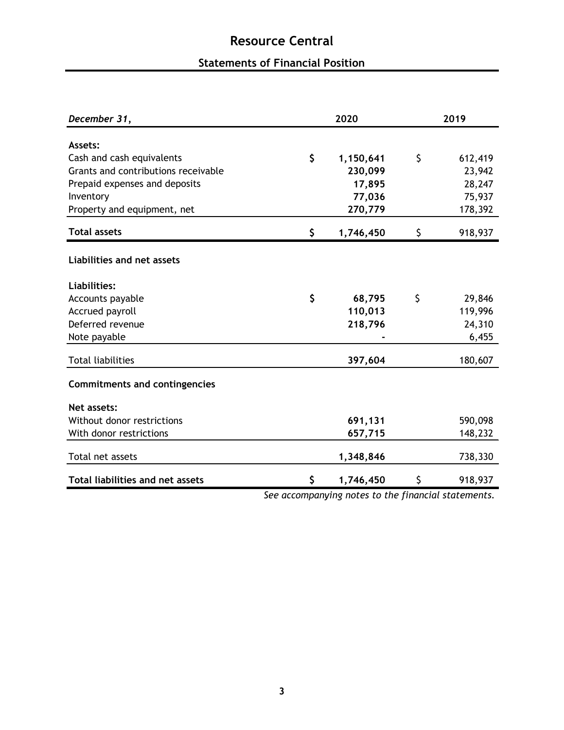# **Statements of Financial Position**

| 2020<br>December 31,                    |    |           | 2019          |  |
|-----------------------------------------|----|-----------|---------------|--|
| Assets:                                 |    |           |               |  |
| Cash and cash equivalents               | \$ | 1,150,641 | \$<br>612,419 |  |
| Grants and contributions receivable     |    | 230,099   | 23,942        |  |
| Prepaid expenses and deposits           |    | 17,895    | 28,247        |  |
| Inventory                               |    | 77,036    | 75,937        |  |
| Property and equipment, net             |    | 270,779   | 178,392       |  |
| <b>Total assets</b>                     | \$ | 1,746,450 | \$<br>918,937 |  |
| Liabilities and net assets              |    |           |               |  |
| Liabilities:                            |    |           |               |  |
| Accounts payable                        | \$ | 68,795    | \$<br>29,846  |  |
| Accrued payroll                         |    | 110,013   | 119,996       |  |
| Deferred revenue                        |    | 218,796   | 24,310        |  |
| Note payable                            |    |           | 6,455         |  |
| <b>Total liabilities</b>                |    | 397,604   | 180,607       |  |
| <b>Commitments and contingencies</b>    |    |           |               |  |
| Net assets:                             |    |           |               |  |
| Without donor restrictions              |    | 691,131   | 590,098       |  |
| With donor restrictions                 |    | 657,715   | 148,232       |  |
| Total net assets                        |    | 1,348,846 | 738,330       |  |
| <b>Total liabilities and net assets</b> | \$ | 1,746,450 | \$<br>918,937 |  |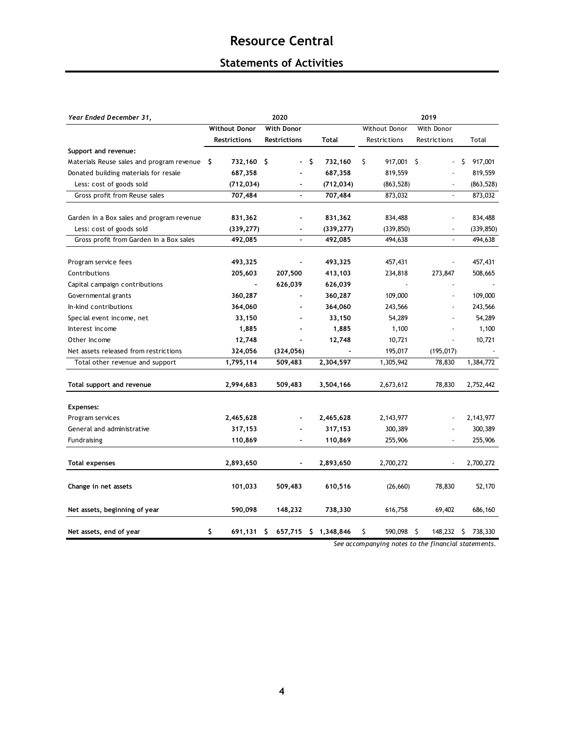# **Statements of Activities**

| Year Ended December 31,                           |                      | 2020                     |                      |                     | 2019                     |                    |
|---------------------------------------------------|----------------------|--------------------------|----------------------|---------------------|--------------------------|--------------------|
|                                                   | <b>Without Donor</b> | <b>With Donor</b>        |                      | Without Donor       | With Donor               |                    |
|                                                   | <b>Restrictions</b>  | <b>Restrictions</b>      | Total                | <b>Restrictions</b> | <b>Restrictions</b>      | Total              |
| Support and revenue:                              |                      |                          |                      |                     |                          |                    |
| Materials Reuse sales and program revenue $\oint$ | 732,160 \$           |                          | -\$<br>732,160       | \$<br>917,001 \$    |                          | \$<br>917,001      |
| Donated building materials for resale             | 687,358              |                          | 687,358              | 819,559             |                          | 819,559            |
| Less: cost of goods sold                          | (712, 034)           |                          | (712, 034)           | (863, 528)          |                          | (863, 528)         |
| Gross profit from Reuse sales                     | 707,484              |                          | 707,484              | 873,032             | $\overline{a}$           | 873,032            |
| Garden In a Box sales and program revenue         | 831,362              | ä,                       | 831,362              | 834,488             | $\overline{\phantom{a}}$ | 834,488            |
| Less: cost of goods sold                          | (339, 277)           | ٠                        | (339, 277)           | (339, 850)          | $\overline{\phantom{a}}$ | (339, 850)         |
| Gross profit from Garden In a Box sales           | 492,085              | ä,                       | 492,085              | 494,638             | $\overline{\phantom{a}}$ | 494,638            |
|                                                   |                      |                          |                      |                     |                          |                    |
| Program service fees                              | 493,325              | $\overline{a}$           | 493,325              | 457,431             | $\overline{\phantom{a}}$ | 457,431            |
| Contributions                                     | 205,603              | 207,500                  | 413,103              | 234,818             | 273,847                  | 508,665            |
| Capital campaign contributions                    |                      | 626,039                  | 626,039              |                     | $\overline{\phantom{a}}$ |                    |
| Governmental grants                               | 360,287              |                          | 360,287              | 109,000             | $\overline{\phantom{a}}$ | 109,000            |
| In-kind contributions                             | 364,060              |                          | 364,060              | 243,566             |                          | 243,566            |
| Special event income, net                         | 33,150               |                          | 33,150               | 54,289              |                          | 54,289             |
| Interest income                                   | 1,885                |                          | 1,885                | 1,100               |                          | 1,100              |
| Other Income                                      | 12,748               |                          | 12,748               | 10,721              | ÷,                       | 10,721             |
| Net assets released from restrictions             | 324,056              | (324, 056)               |                      | 195,017             | (195, 017)               |                    |
| Total other revenue and support                   | 1,795,114            | 509,483                  | 2,304,597            | 1,305,942           | 78,830                   | 1,384,772          |
| Total support and revenue                         | 2,994,683            | 509,483                  | 3,504,166            | 2,673,612           | 78,830                   | 2,752,442          |
| <b>Expenses:</b>                                  |                      |                          |                      |                     |                          |                    |
| Program services                                  | 2,465,628            |                          | 2,465,628            | 2,143,977           |                          | 2,143,977          |
| General and administrative                        | 317,153              |                          | 317,153              | 300,389             |                          | 300,389            |
| Fundraising                                       | 110,869              |                          | 110,869              | 255,906             |                          | 255,906            |
| <b>Total expenses</b>                             | 2,893,650            | $\overline{\phantom{a}}$ | 2,893,650            | 2,700,272           |                          | 2,700,272          |
| Change in net assets                              | 101,033              | 509,483                  | 610,516              | (26, 660)           | 78,830                   | 52,170             |
| Net assets, beginning of year                     | 590,098              | 148,232                  | 738,330              | 616,758             | 69,402                   | 686,160            |
| Net assets, end of year                           | \$.<br>691,131 \$    |                          | 657,715 \$ 1,348,846 | \$<br>590,098 \$    |                          | 148,232 \$ 738,330 |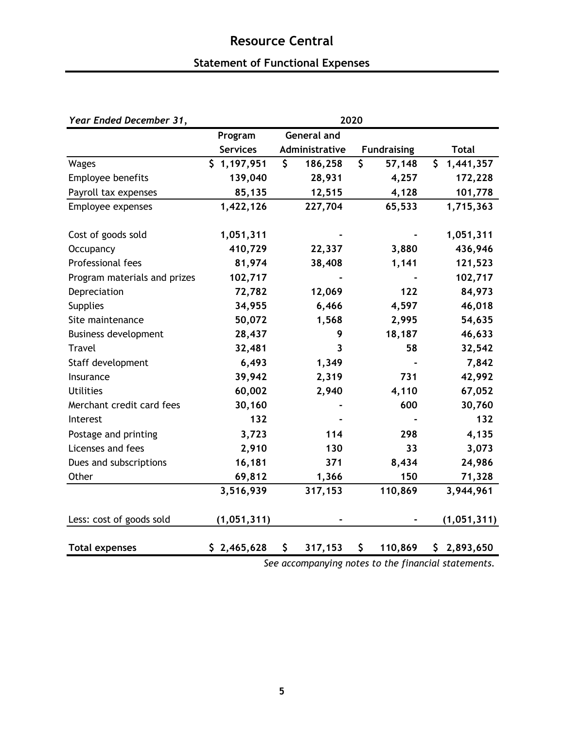# **Statement of Functional Expenses**

| Year Ended December 31,      |                 | 2020 |                    |    |                    |    |              |
|------------------------------|-----------------|------|--------------------|----|--------------------|----|--------------|
|                              | Program         |      | <b>General and</b> |    |                    |    |              |
|                              | <b>Services</b> |      | Administrative     |    | <b>Fundraising</b> |    | <b>Total</b> |
| Wages                        | \$1,197,951     | \$   | 186,258            | \$ | 57,148             | \$ | 1,441,357    |
| Employee benefits            | 139,040         |      | 28,931             |    | 4,257              |    | 172,228      |
| Payroll tax expenses         | 85,135          |      | 12,515             |    | 4,128              |    | 101,778      |
| Employee expenses            | 1,422,126       |      | 227,704            |    | 65,533             |    | 1,715,363    |
| Cost of goods sold           | 1,051,311       |      |                    |    |                    |    | 1,051,311    |
| Occupancy                    | 410,729         |      | 22,337             |    | 3,880              |    | 436,946      |
| Professional fees            | 81,974          |      | 38,408             |    | 1,141              |    | 121,523      |
| Program materials and prizes | 102,717         |      |                    |    |                    |    | 102,717      |
| Depreciation                 | 72,782          |      | 12,069             |    | 122                |    | 84,973       |
| <b>Supplies</b>              | 34,955          |      | 6,466              |    | 4,597              |    | 46,018       |
| Site maintenance             | 50,072          |      | 1,568              |    | 2,995              |    | 54,635       |
| <b>Business development</b>  | 28,437          |      | 9                  |    | 18,187             |    | 46,633       |
| Travel                       | 32,481          |      | 3                  |    | 58                 |    | 32,542       |
| Staff development            | 6,493           |      | 1,349              |    |                    |    | 7,842        |
| Insurance                    | 39,942          |      | 2,319              |    | 731                |    | 42,992       |
| <b>Utilities</b>             | 60,002          |      | 2,940              |    | 4,110              |    | 67,052       |
| Merchant credit card fees    | 30,160          |      |                    |    | 600                |    | 30,760       |
| Interest                     | 132             |      |                    |    |                    |    | 132          |
| Postage and printing         | 3,723           |      | 114                |    | 298                |    | 4,135        |
| Licenses and fees            | 2,910           |      | 130                |    | 33                 |    | 3,073        |
| Dues and subscriptions       | 16,181          |      | 371                |    | 8,434              |    | 24,986       |
| Other                        | 69,812          |      | 1,366              |    | 150                |    | 71,328       |
|                              | 3,516,939       |      | 317,153            |    | 110,869            |    | 3,944,961    |
| Less: cost of goods sold     | (1,051,311)     |      |                    |    |                    |    | (1,051,311)  |
| <b>Total expenses</b>        | \$2,465,628     | \$   | 317,153            | \$ | 110,869            | \$ | 2,893,650    |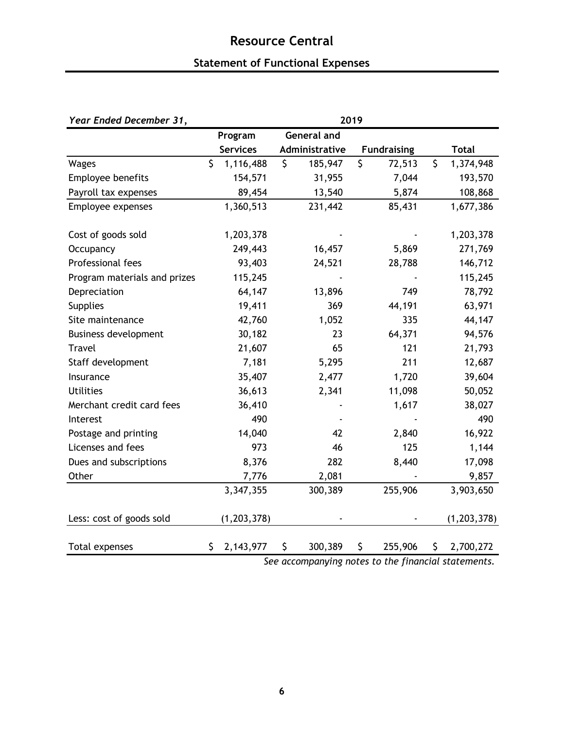# **Statement of Functional Expenses**

| Year Ended December 31,      | 2019 |                 |    |                    |    |                    |    |               |
|------------------------------|------|-----------------|----|--------------------|----|--------------------|----|---------------|
|                              |      | Program         |    | <b>General and</b> |    |                    |    |               |
|                              |      | <b>Services</b> |    | Administrative     |    | <b>Fundraising</b> |    | <b>Total</b>  |
| Wages                        | \$   | 1,116,488       | \$ | 185,947            | \$ | 72,513             | \$ | 1,374,948     |
| Employee benefits            |      | 154,571         |    | 31,955             |    | 7,044              |    | 193,570       |
| Payroll tax expenses         |      | 89,454          |    | 13,540             |    | 5,874              |    | 108,868       |
| Employee expenses            |      | 1,360,513       |    | 231,442            |    | 85,431             |    | 1,677,386     |
| Cost of goods sold           |      | 1,203,378       |    |                    |    |                    |    | 1,203,378     |
| Occupancy                    |      | 249,443         |    | 16,457             |    | 5,869              |    | 271,769       |
| Professional fees            |      | 93,403          |    | 24,521             |    | 28,788             |    | 146,712       |
| Program materials and prizes |      | 115,245         |    |                    |    |                    |    | 115,245       |
| Depreciation                 |      | 64,147          |    | 13,896             |    | 749                |    | 78,792        |
| Supplies                     |      | 19,411          |    | 369                |    | 44,191             |    | 63,971        |
| Site maintenance             |      | 42,760          |    | 1,052              |    | 335                |    | 44,147        |
| <b>Business development</b>  |      | 30,182          |    | 23                 |    | 64,371             |    | 94,576        |
| <b>Travel</b>                |      | 21,607          |    | 65                 |    | 121                |    | 21,793        |
| Staff development            |      | 7,181           |    | 5,295              |    | 211                |    | 12,687        |
| Insurance                    |      | 35,407          |    | 2,477              |    | 1,720              |    | 39,604        |
| <b>Utilities</b>             |      | 36,613          |    | 2,341              |    | 11,098             |    | 50,052        |
| Merchant credit card fees    |      | 36,410          |    |                    |    | 1,617              |    | 38,027        |
| Interest                     |      | 490             |    |                    |    |                    |    | 490           |
| Postage and printing         |      | 14,040          |    | 42                 |    | 2,840              |    | 16,922        |
| Licenses and fees            |      | 973             |    | 46                 |    | 125                |    | 1,144         |
| Dues and subscriptions       |      | 8,376           |    | 282                |    | 8,440              |    | 17,098        |
| Other                        |      | 7,776           |    | 2,081              |    |                    |    | 9,857         |
|                              |      | 3,347,355       |    | 300,389            |    | 255,906            |    | 3,903,650     |
| Less: cost of goods sold     |      | (1, 203, 378)   |    |                    |    |                    |    | (1, 203, 378) |
| Total expenses               | \$.  | 2, 143, 977     | \$ | 300,389            | \$ | 255,906            | \$ | 2,700,272     |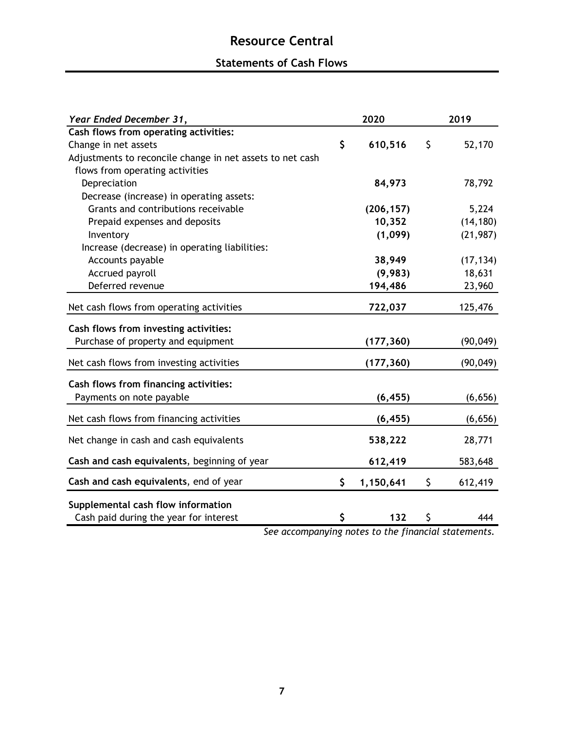# **Statements of Cash Flows**

| Year Ended December 31,                                   | 2020 |            |    | 2019      |
|-----------------------------------------------------------|------|------------|----|-----------|
| Cash flows from operating activities:                     |      |            |    |           |
| Change in net assets                                      | \$   | 610,516    | \$ | 52,170    |
| Adjustments to reconcile change in net assets to net cash |      |            |    |           |
| flows from operating activities                           |      |            |    |           |
| Depreciation                                              |      | 84,973     |    | 78,792    |
| Decrease (increase) in operating assets:                  |      |            |    |           |
| Grants and contributions receivable                       |      | (206, 157) |    | 5,224     |
| Prepaid expenses and deposits                             |      | 10,352     |    | (14, 180) |
| Inventory                                                 |      | (1,099)    |    | (21, 987) |
| Increase (decrease) in operating liabilities:             |      |            |    |           |
| Accounts payable                                          |      | 38,949     |    | (17, 134) |
| Accrued payroll                                           |      | (9,983)    |    | 18,631    |
| Deferred revenue                                          |      | 194,486    |    | 23,960    |
| Net cash flows from operating activities                  |      | 722,037    |    | 125,476   |
| Cash flows from investing activities:                     |      |            |    |           |
| Purchase of property and equipment                        |      | (177, 360) |    | (90, 049) |
|                                                           |      |            |    |           |
| Net cash flows from investing activities                  |      | (177, 360) |    | (90, 049) |
| Cash flows from financing activities:                     |      |            |    |           |
| Payments on note payable                                  |      | (6, 455)   |    | (6,656)   |
| Net cash flows from financing activities                  |      | (6, 455)   |    | (6,656)   |
|                                                           |      |            |    |           |
| Net change in cash and cash equivalents                   |      | 538,222    |    | 28,771    |
| Cash and cash equivalents, beginning of year              |      | 612,419    |    | 583,648   |
| Cash and cash equivalents, end of year                    | \$   | 1,150,641  | \$ | 612,419   |
| Supplemental cash flow information                        |      |            |    |           |
| Cash paid during the year for interest                    | \$   | 132        | \$ | 444       |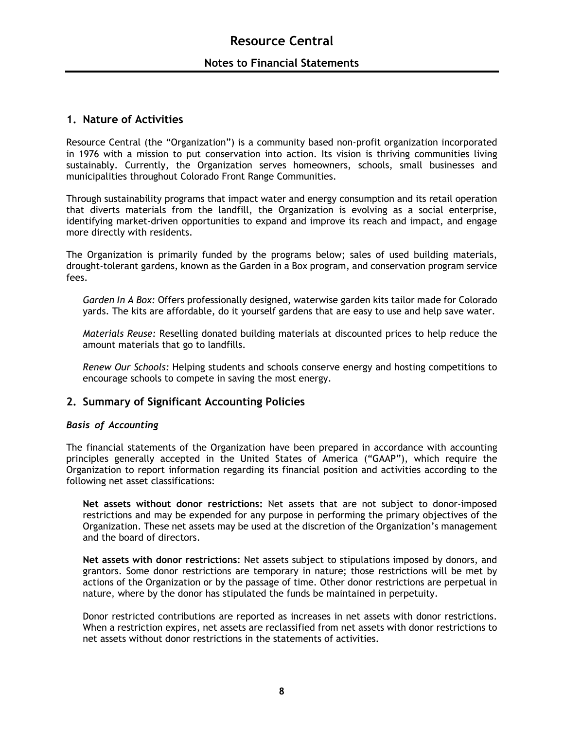## **1. Nature of Activities**

Resource Central (the "Organization") is a community based non-profit organization incorporated in 1976 with a mission to put conservation into action. Its vision is thriving communities living sustainably. Currently, the Organization serves homeowners, schools, small businesses and municipalities throughout Colorado Front Range Communities.

Through sustainability programs that impact water and energy consumption and its retail operation that diverts materials from the landfill, the Organization is evolving as a social enterprise, identifying market-driven opportunities to expand and improve its reach and impact, and engage more directly with residents.

The Organization is primarily funded by the programs below; sales of used building materials, drought-tolerant gardens, known as the Garden in a Box program, and conservation program service fees.

*Garden In A Box:* Offers professionally designed, waterwise garden kits tailor made for Colorado yards. The kits are affordable, do it yourself gardens that are easy to use and help save water.

*Materials Reuse:* Reselling donated building materials at discounted prices to help reduce the amount materials that go to landfills.

*Renew Our Schools:* Helping students and schools conserve energy and hosting competitions to encourage schools to compete in saving the most energy.

## **2. Summary of Significant Accounting Policies**

#### *Basis of Accounting*

The financial statements of the Organization have been prepared in accordance with accounting principles generally accepted in the United States of America ("GAAP"), which require the Organization to report information regarding its financial position and activities according to the following net asset classifications:

**Net assets without donor restrictions:** Net assets that are not subject to donor-imposed restrictions and may be expended for any purpose in performing the primary objectives of the Organization. These net assets may be used at the discretion of the Organization's management and the board of directors.

**Net assets with donor restrictions**: Net assets subject to stipulations imposed by donors, and grantors. Some donor restrictions are temporary in nature; those restrictions will be met by actions of the Organization or by the passage of time. Other donor restrictions are perpetual in nature, where by the donor has stipulated the funds be maintained in perpetuity.

Donor restricted contributions are reported as increases in net assets with donor restrictions. When a restriction expires, net assets are reclassified from net assets with donor restrictions to net assets without donor restrictions in the statements of activities.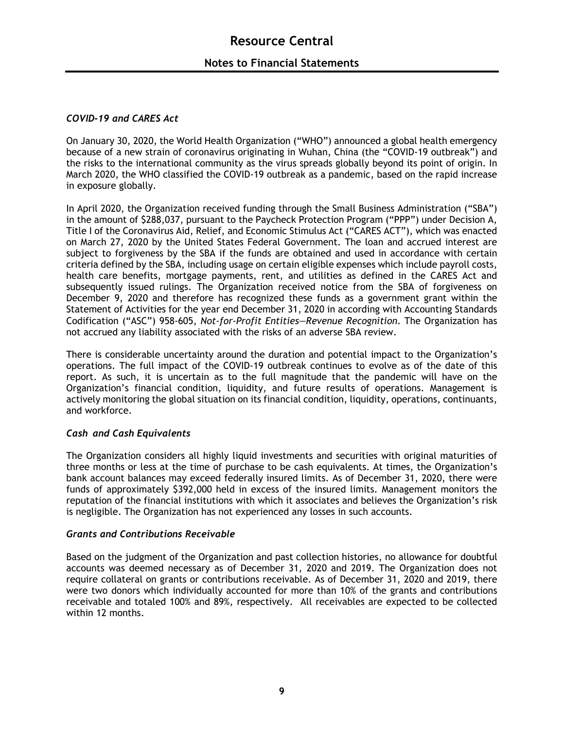#### *COVID-19 and CARES Act*

On January 30, 2020, the World Health Organization ("WHO") announced a global health emergency because of a new strain of coronavirus originating in Wuhan, China (the "COVID-19 outbreak") and the risks to the international community as the virus spreads globally beyond its point of origin. In March 2020, the WHO classified the COVID-19 outbreak as a pandemic, based on the rapid increase in exposure globally.

In April 2020, the Organization received funding through the Small Business Administration ("SBA") in the amount of \$288,037, pursuant to the Paycheck Protection Program ("PPP") under Decision A, Title I of the Coronavirus Aid, Relief, and Economic Stimulus Act ("CARES ACT"), which was enacted on March 27, 2020 by the United States Federal Government. The loan and accrued interest are subject to forgiveness by the SBA if the funds are obtained and used in accordance with certain criteria defined by the SBA, including usage on certain eligible expenses which include payroll costs, health care benefits, mortgage payments, rent, and utilities as defined in the CARES Act and subsequently issued rulings. The Organization received notice from the SBA of forgiveness on December 9, 2020 and therefore has recognized these funds as a government grant within the Statement of Activities for the year end December 31, 2020 in according with Accounting Standards Codification ("ASC") 958-605, *Not-for-Profit Entities—Revenue Recognition*. The Organization has not accrued any liability associated with the risks of an adverse SBA review.

There is considerable uncertainty around the duration and potential impact to the Organization's operations. The full impact of the COVID-19 outbreak continues to evolve as of the date of this report. As such, it is uncertain as to the full magnitude that the pandemic will have on the Organization's financial condition, liquidity, and future results of operations. Management is actively monitoring the global situation on its financial condition, liquidity, operations, continuants, and workforce.

#### *Cash and Cash Equivalents*

The Organization considers all highly liquid investments and securities with original maturities of three months or less at the time of purchase to be cash equivalents. At times, the Organization's bank account balances may exceed federally insured limits. As of December 31, 2020, there were funds of approximately \$392,000 held in excess of the insured limits. Management monitors the reputation of the financial institutions with which it associates and believes the Organization's risk is negligible. The Organization has not experienced any losses in such accounts.

#### *Grants and Contributions Receivable*

Based on the judgment of the Organization and past collection histories, no allowance for doubtful accounts was deemed necessary as of December 31, 2020 and 2019. The Organization does not require collateral on grants or contributions receivable. As of December 31, 2020 and 2019, there were two donors which individually accounted for more than 10% of the grants and contributions receivable and totaled 100% and 89%, respectively. All receivables are expected to be collected within 12 months.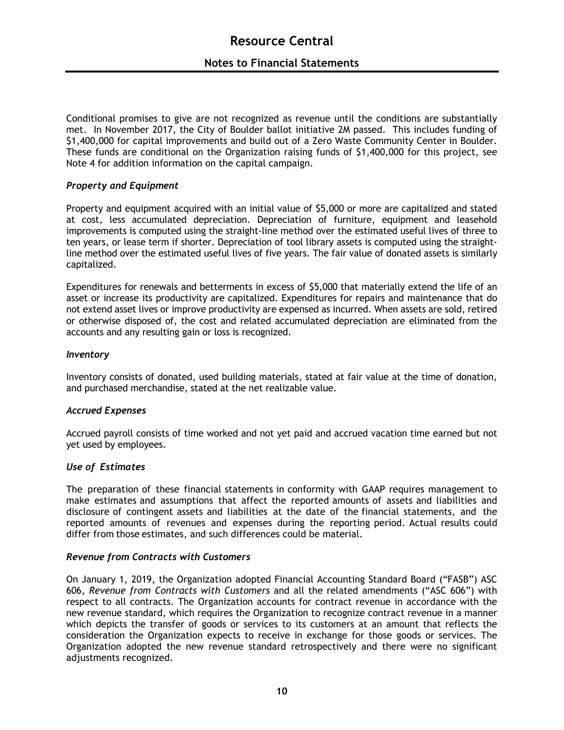Conditional promises to give are not recognized as revenue until the conditions are substantially met. In November 2017, the City of Boulder ballot initiative 2M passed. This includes funding of \$1,400,000 for capital improvements and build out of a Zero Waste Community Center in Boulder. These funds are conditional on the Organization raising funds of \$1,400,000 for this project, see Note 4 for addition information on the capital campaign.

#### *Property and Equipment*

Property and equipment acquired with an initial value of \$5,000 or more are capitalized and stated at cost, less accumulated depreciation. Depreciation of furniture, equipment and leasehold improvements is computed using the straight-line method over the estimated useful lives of three to ten years, or lease term if shorter. Depreciation of tool library assets is computed using the straightline method over the estimated useful lives of five years. The fair value of donated assets is similarly capitalized.

Expenditures for renewals and betterments in excess of \$5,000 that materially extend the life of an asset or increase its productivity are capitalized. Expenditures for repairs and maintenance that do not extend asset lives or improve productivity are expensed as incurred. When assets are sold, retired or otherwise disposed of, the cost and related accumulated depreciation are eliminated from the accounts and any resulting gain or loss is recognized.

#### *Inventory*

Inventory consists of donated, used building materials, stated at fair value at the time of donation, and purchased merchandise, stated at the net realizable value.

#### *Accrued Expenses*

Accrued payroll consists of time worked and not yet paid and accrued vacation time earned but not yet used by employees.

#### *Use of Estimates*

The preparation of these financial statements in conformity with GAAP requires management to make estimates and assumptions that affect the reported amounts of assets and liabilities and disclosure of contingent assets and liabilities at the date of the financial statements, and the reported amounts of revenues and expenses during the reporting period. Actual results could differ from those estimates, and such differences could be material.

#### *Revenue from Contracts with Customers*

On January 1, 2019, the Organization adopted Financial Accounting Standard Board ("FASB") ASC 606, *Revenue from Contracts with Customers* and all the related amendments ("ASC 606") with respect to all contracts. The Organization accounts for contract revenue in accordance with the new revenue standard, which requires the Organization to recognize contract revenue in a manner which depicts the transfer of goods or services to its customers at an amount that reflects the consideration the Organization expects to receive in exchange for those goods or services. The Organization adopted the new revenue standard retrospectively and there were no significant adjustments recognized.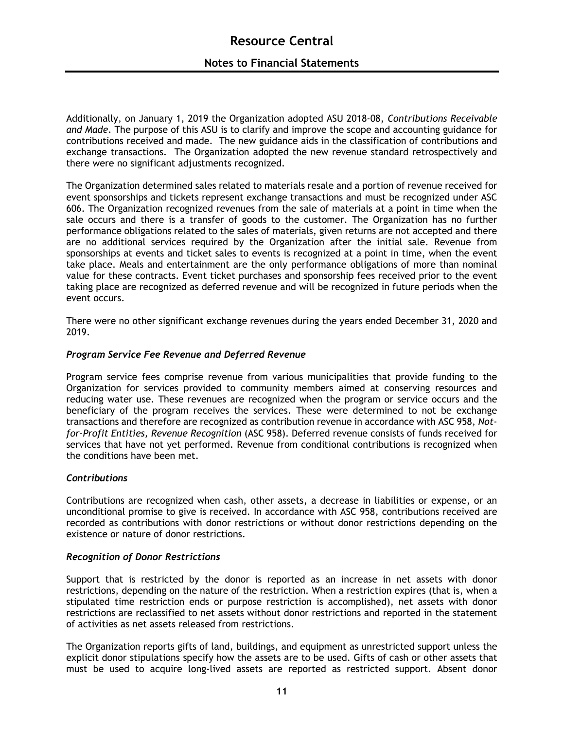## **Notes to Financial Statements**

Additionally, on January 1, 2019 the Organization adopted ASU 2018-08, *Contributions Receivable and Made*. The purpose of this ASU is to clarify and improve the scope and accounting guidance for contributions received and made. The new guidance aids in the classification of contributions and exchange transactions. The Organization adopted the new revenue standard retrospectively and there were no significant adjustments recognized.

The Organization determined sales related to materials resale and a portion of revenue received for event sponsorships and tickets represent exchange transactions and must be recognized under ASC 606. The Organization recognized revenues from the sale of materials at a point in time when the sale occurs and there is a transfer of goods to the customer. The Organization has no further performance obligations related to the sales of materials, given returns are not accepted and there are no additional services required by the Organization after the initial sale. Revenue from sponsorships at events and ticket sales to events is recognized at a point in time, when the event take place. Meals and entertainment are the only performance obligations of more than nominal value for these contracts. Event ticket purchases and sponsorship fees received prior to the event taking place are recognized as deferred revenue and will be recognized in future periods when the event occurs.

There were no other significant exchange revenues during the years ended December 31, 2020 and 2019.

#### *Program Service Fee Revenue and Deferred Revenue*

Program service fees comprise revenue from various municipalities that provide funding to the Organization for services provided to community members aimed at conserving resources and reducing water use. These revenues are recognized when the program or service occurs and the beneficiary of the program receives the services. These were determined to not be exchange transactions and therefore are recognized as contribution revenue in accordance with ASC 958, *Notfor-Profit Entities, Revenue Recognition* (ASC 958). Deferred revenue consists of funds received for services that have not yet performed. Revenue from conditional contributions is recognized when the conditions have been met.

#### *Contributions*

Contributions are recognized when cash, other assets, a decrease in liabilities or expense, or an unconditional promise to give is received. In accordance with ASC 958*,* contributions received are recorded as contributions with donor restrictions or without donor restrictions depending on the existence or nature of donor restrictions.

#### *Recognition of Donor Restrictions*

Support that is restricted by the donor is reported as an increase in net assets with donor restrictions, depending on the nature of the restriction. When a restriction expires (that is, when a stipulated time restriction ends or purpose restriction is accomplished), net assets with donor restrictions are reclassified to net assets without donor restrictions and reported in the statement of activities as net assets released from restrictions.

The Organization reports gifts of land, buildings, and equipment as unrestricted support unless the explicit donor stipulations specify how the assets are to be used. Gifts of cash or other assets that must be used to acquire long-lived assets are reported as restricted support. Absent donor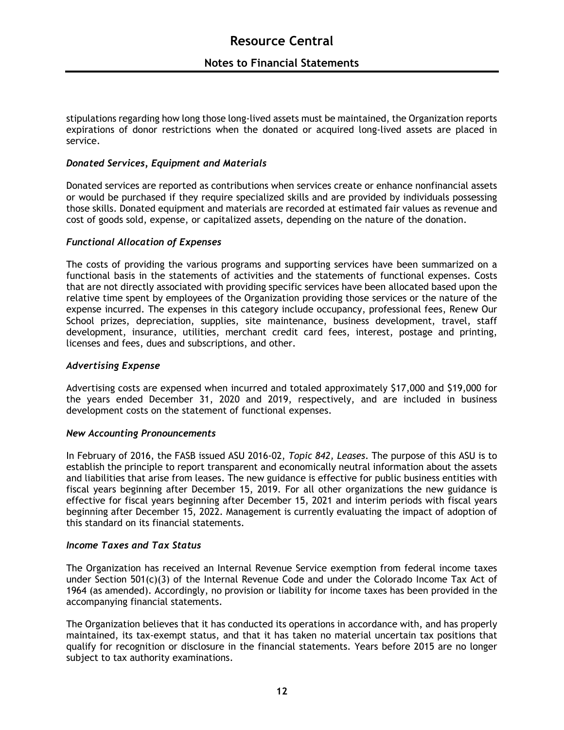## **Notes to Financial Statements**

stipulations regarding how long those long-lived assets must be maintained, the Organization reports expirations of donor restrictions when the donated or acquired long-lived assets are placed in service.

#### *Donated Services, Equipment and Materials*

Donated services are reported as contributions when services create or enhance nonfinancial assets or would be purchased if they require specialized skills and are provided by individuals possessing those skills. Donated equipment and materials are recorded at estimated fair values as revenue and cost of goods sold, expense, or capitalized assets, depending on the nature of the donation.

#### *Functional Allocation of Expenses*

The costs of providing the various programs and supporting services have been summarized on a functional basis in the statements of activities and the statements of functional expenses. Costs that are not directly associated with providing specific services have been allocated based upon the relative time spent by employees of the Organization providing those services or the nature of the expense incurred. The expenses in this category include occupancy, professional fees, Renew Our School prizes, depreciation, supplies, site maintenance, business development, travel, staff development, insurance, utilities, merchant credit card fees, interest, postage and printing, licenses and fees, dues and subscriptions, and other.

#### *Advertising Expense*

Advertising costs are expensed when incurred and totaled approximately \$17,000 and \$19,000 for the years ended December 31, 2020 and 2019, respectively, and are included in business development costs on the statement of functional expenses.

#### *New Accounting Pronouncements*

In February of 2016, the FASB issued ASU 2016-02, *Topic 842, Leases*. The purpose of this ASU is to establish the principle to report transparent and economically neutral information about the assets and liabilities that arise from leases. The new guidance is effective for public business entities with fiscal years beginning after December 15, 2019. For all other organizations the new guidance is effective for fiscal years beginning after December 15, 2021 and interim periods with fiscal years beginning after December 15, 2022. Management is currently evaluating the impact of adoption of this standard on its financial statements.

#### *Income Taxes and Tax Status*

The Organization has received an Internal Revenue Service exemption from federal income taxes under Section 501(c)(3) of the Internal Revenue Code and under the Colorado Income Tax Act of 1964 (as amended). Accordingly, no provision or liability for income taxes has been provided in the accompanying financial statements.

The Organization believes that it has conducted its operations in accordance with, and has properly maintained, its tax-exempt status, and that it has taken no material uncertain tax positions that qualify for recognition or disclosure in the financial statements. Years before 2015 are no longer subject to tax authority examinations.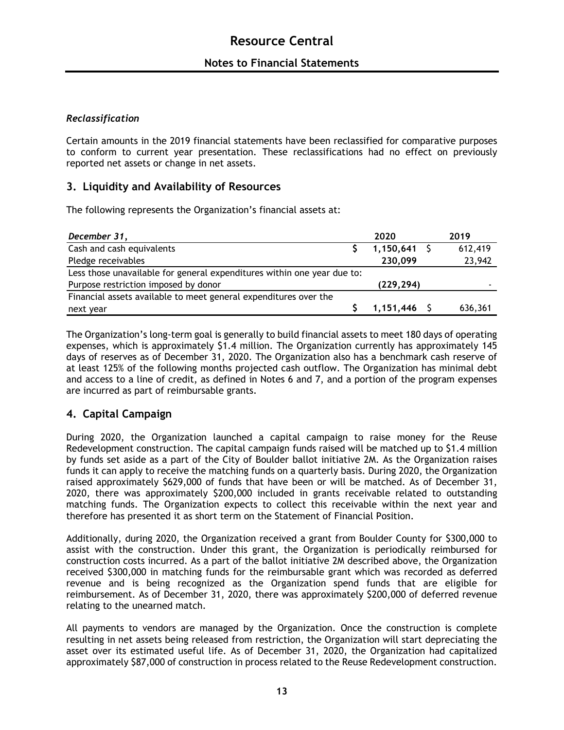## *Reclassification*

Certain amounts in the 2019 financial statements have been reclassified for comparative purposes to conform to current year presentation. These reclassifications had no effect on previously reported net assets or change in net assets.

# **3. Liquidity and Availability of Resources**

The following represents the Organization's financial assets at:

| December 31,                                                            | 2020           | 2019    |
|-------------------------------------------------------------------------|----------------|---------|
| Cash and cash equivalents                                               | $1,150,641$ \$ | 612,419 |
| Pledge receivables                                                      | 230,099        | 23,942  |
| Less those unavailable for general expenditures within one year due to: |                |         |
| Purpose restriction imposed by donor                                    | (229, 294)     |         |
| Financial assets available to meet general expenditures over the        |                |         |
| next year                                                               | 1,151,446      | 636,361 |

The Organization's long-term goal is generally to build financial assets to meet 180 days of operating expenses, which is approximately \$1.4 million. The Organization currently has approximately 145 days of reserves as of December 31, 2020. The Organization also has a benchmark cash reserve of at least 125% of the following months projected cash outflow. The Organization has minimal debt and access to a line of credit, as defined in Notes 6 and 7, and a portion of the program expenses are incurred as part of reimbursable grants.

# **4. Capital Campaign**

During 2020, the Organization launched a capital campaign to raise money for the Reuse Redevelopment construction. The capital campaign funds raised will be matched up to \$1.4 million by funds set aside as a part of the City of Boulder ballot initiative 2M. As the Organization raises funds it can apply to receive the matching funds on a quarterly basis. During 2020, the Organization raised approximately \$629,000 of funds that have been or will be matched. As of December 31, 2020, there was approximately \$200,000 included in grants receivable related to outstanding matching funds. The Organization expects to collect this receivable within the next year and therefore has presented it as short term on the Statement of Financial Position.

Additionally, during 2020, the Organization received a grant from Boulder County for \$300,000 to assist with the construction. Under this grant, the Organization is periodically reimbursed for construction costs incurred. As a part of the ballot initiative 2M described above, the Organization received \$300,000 in matching funds for the reimbursable grant which was recorded as deferred revenue and is being recognized as the Organization spend funds that are eligible for reimbursement. As of December 31, 2020, there was approximately \$200,000 of deferred revenue relating to the unearned match.

All payments to vendors are managed by the Organization. Once the construction is complete resulting in net assets being released from restriction, the Organization will start depreciating the asset over its estimated useful life. As of December 31, 2020, the Organization had capitalized approximately \$87,000 of construction in process related to the Reuse Redevelopment construction.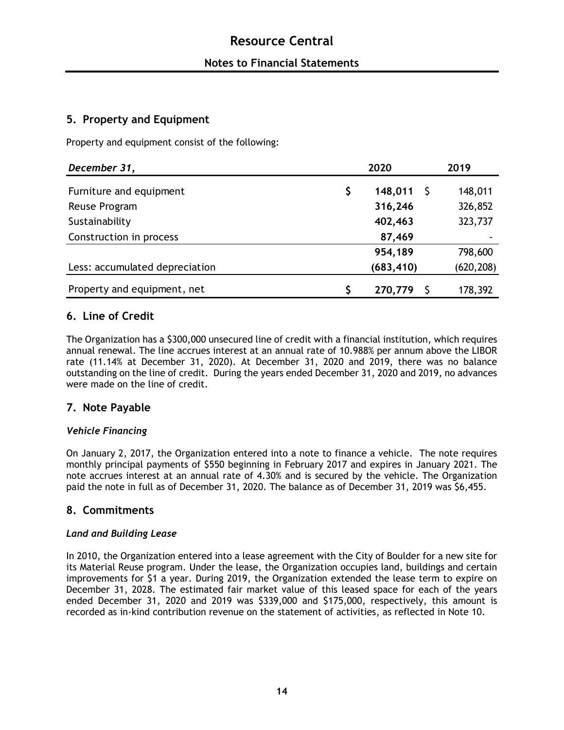# **5. Property and Equipment**

Property and equipment consist of the following:

| December 31,                   | 2020 |            | 2019       |  |
|--------------------------------|------|------------|------------|--|
| Furniture and equipment        | \$.  | 148,011    | 148,011    |  |
| Reuse Program                  |      | 316,246    | 326,852    |  |
| Sustainability                 |      | 402,463    | 323,737    |  |
| Construction in process        |      | 87,469     |            |  |
|                                |      | 954,189    | 798,600    |  |
| Less: accumulated depreciation |      | (683, 410) | (620, 208) |  |
| Property and equipment, net    |      | 270,779    | 178,392    |  |

# **6. Line of Credit**

The Organization has a \$300,000 unsecured line of credit with a financial institution, which requires annual renewal. The line accrues interest at an annual rate of 10.988% per annum above the LIBOR rate (11.14% at December 31, 2020). At December 31, 2020 and 2019, there was no balance outstanding on the line of credit. During the years ended December 31, 2020 and 2019, no advances were made on the line of credit.

# **7. Note Payable**

## *Vehicle Financing*

On January 2, 2017, the Organization entered into a note to finance a vehicle. The note requires monthly principal payments of \$550 beginning in February 2017 and expires in January 2021. The note accrues interest at an annual rate of 4.30% and is secured by the vehicle. The Organization paid the note in full as of December 31, 2020. The balance as of December 31, 2019 was \$6,455.

# **8. Commitments**

## *Land and Building Lease*

In 2010, the Organization entered into a lease agreement with the City of Boulder for a new site for its Material Reuse program. Under the lease, the Organization occupies land, buildings and certain improvements for \$1 a year. During 2019, the Organization extended the lease term to expire on December 31, 2028. The estimated fair market value of this leased space for each of the years ended December 31, 2020 and 2019 was \$339,000 and \$175,000, respectively, this amount is recorded as in-kind contribution revenue on the statement of activities, as reflected in Note 10.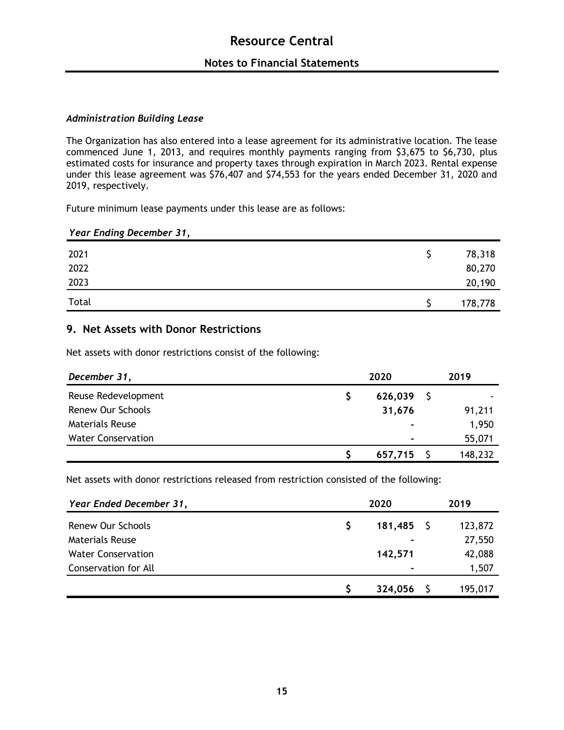#### *Administration Building Lease*

The Organization has also entered into a lease agreement for its administrative location. The lease commenced June 1, 2013, and requires monthly payments ranging from \$3,675 to \$6,730, plus estimated costs for insurance and property taxes through expiration in March 2023. Rental expense under this lease agreement was \$76,407 and \$74,553 for the years ended December 31, 2020 and 2019, respectively.

Future minimum lease payments under this lease are as follows:

# *Year Ending December 31,*

| 2023<br>Total | 20,190<br>178,778 |
|---------------|-------------------|
|               |                   |
| 2022          | 80,270            |
| 2021          | 78,318            |

## **9. Net Assets with Donor Restrictions**

Net assets with donor restrictions consist of the following:

| December 31,              | 2020    | 2019    |  |
|---------------------------|---------|---------|--|
| Reuse Redevelopment       | 626,039 |         |  |
| Renew Our Schools         | 31,676  | 91,211  |  |
| <b>Materials Reuse</b>    | ۰       | 1,950   |  |
| <b>Water Conservation</b> | ۰       | 55,071  |  |
|                           | 657,715 | 148,232 |  |

Net assets with donor restrictions released from restriction consisted of the following:

| Year Ended December 31,   | 2020    | 2019    |
|---------------------------|---------|---------|
| Renew Our Schools         | 181,485 | 123,872 |
| Materials Reuse           |         | 27,550  |
| <b>Water Conservation</b> | 142,571 | 42,088  |
| Conservation for All      | ٠       | 1,507   |
|                           | 324,056 | 195,017 |